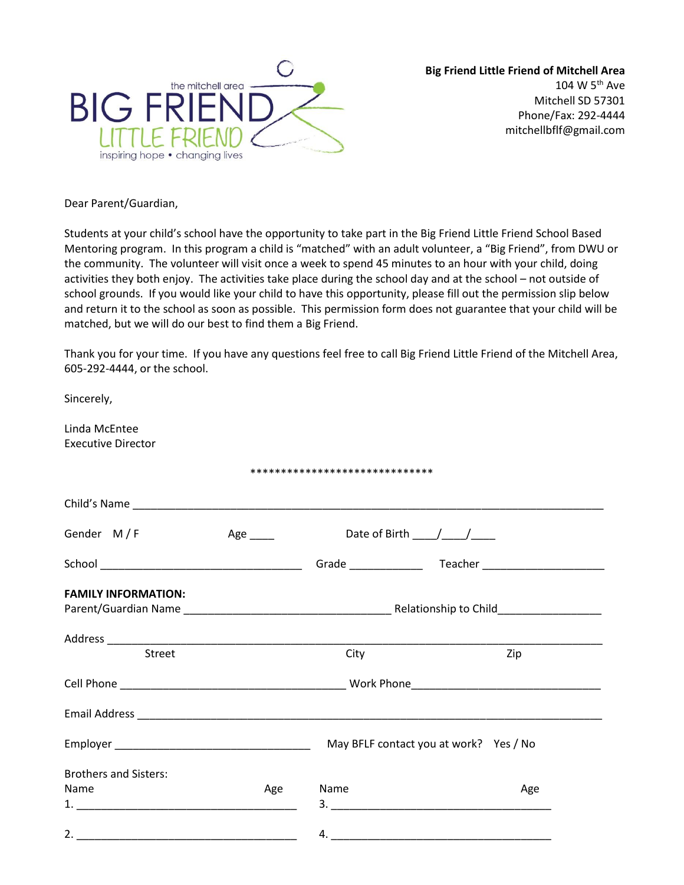

**Big Friend Little Friend of Mitchell Area** 104 W 5th Ave Mitchell SD 57301 Phone/Fax: 292-4444 mitchellbflf@gmail.com

Dear Parent/Guardian,

Students at your child's school have the opportunity to take part in the Big Friend Little Friend School Based Mentoring program. In this program a child is "matched" with an adult volunteer, a "Big Friend", from DWU or the community. The volunteer will visit once a week to spend 45 minutes to an hour with your child, doing activities they both enjoy. The activities take place during the school day and at the school – not outside of school grounds. If you would like your child to have this opportunity, please fill out the permission slip below and return it to the school as soon as possible. This permission form does not guarantee that your child will be matched, but we will do our best to find them a Big Friend.

Thank you for your time. If you have any questions feel free to call Big Friend Little Friend of the Mitchell Area, 605-292-4444, or the school.

| Sincerely,                                 |                 |                                                |                                        |  |  |  |  |
|--------------------------------------------|-----------------|------------------------------------------------|----------------------------------------|--|--|--|--|
| Linda McEntee<br><b>Executive Director</b> |                 |                                                |                                        |  |  |  |  |
|                                            |                 | ******************************                 |                                        |  |  |  |  |
|                                            |                 |                                                |                                        |  |  |  |  |
| Gender M/F                                 | Age $\_\_\_\_\$ | Date of Birth $\frac{1}{\sqrt{1-\frac{1}{2}}}$ |                                        |  |  |  |  |
|                                            |                 |                                                |                                        |  |  |  |  |
| <b>FAMILY INFORMATION:</b>                 |                 |                                                |                                        |  |  |  |  |
|                                            |                 |                                                |                                        |  |  |  |  |
| Street                                     |                 | City                                           | Zip                                    |  |  |  |  |
|                                            |                 |                                                |                                        |  |  |  |  |
|                                            |                 |                                                |                                        |  |  |  |  |
|                                            |                 |                                                | May BFLF contact you at work? Yes / No |  |  |  |  |
| <b>Brothers and Sisters:</b>               |                 |                                                |                                        |  |  |  |  |
| Name                                       | Age             | Name                                           | Age                                    |  |  |  |  |
|                                            |                 |                                                |                                        |  |  |  |  |
|                                            |                 |                                                |                                        |  |  |  |  |